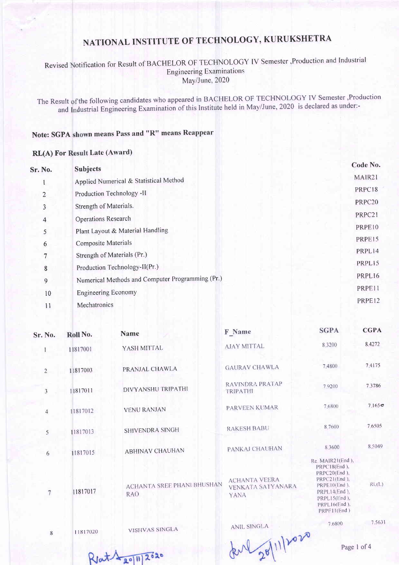### Revised Notification for Result of BACHELOR OF TECHNOLOGY IV Semester ,Production and Industrial **Engineering Examinations** May/June, 2020

The Result of the following candidates who appeared in BACHELOR OF TECHNOLOGY IV Semester ,Production and Industrial Engineering Examination of this Institute held in May/June, 2020 is declared as under:-

### Note: SGPA shown means Pass and "R" means Reappear

#### **RL(A) For Result Late (Award)**

| Sr. No.        | <b>Subjects</b>                                  | Code No. |
|----------------|--------------------------------------------------|----------|
|                | Applied Numerical & Statistical Method           | MAIR21   |
| 2              | Production Technology -II                        | PRPC18   |
| 3              | Strength of Materials.                           | PRPC20   |
| 4              | <b>Operations Research</b>                       | PRPC21   |
| 5              | Plant Layout & Material Handling                 | PRPE10   |
| 6              | <b>Composite Materials</b>                       | PRPE15   |
| 7              | Strength of Materials (Pr.)                      | PRPL14   |
| 8              | Production Technology-II(Pr.)                    | PRPL15   |
| $\overline{9}$ | Numerical Methods and Computer Programming (Pr.) | PRPL16   |
| 10             | <b>Engineering Economy</b>                       | PRPE11   |
| 11             | Mechatronics                                     | PRPE12   |

| Sr. No.        | Roll No. | Name                                     | F Name                                            | <b>SGPA</b>                                                                                                                                        | <b>CGPA</b> |
|----------------|----------|------------------------------------------|---------------------------------------------------|----------------------------------------------------------------------------------------------------------------------------------------------------|-------------|
|                | 11817001 | YASH MITTAL                              | <b>AJAY MITTAL</b>                                | 8,3200                                                                                                                                             | 8.4272      |
| $\overline{2}$ | 11817003 | PRANJAL CHAWLA                           | <b>GAURAV CHAWLA</b>                              | 7,4800                                                                                                                                             | 7.4175      |
| 3              | 11817011 | DIVYANSHU TRIPATHI                       | RAVINDRA PRATAP<br><b>TRIPATHI</b>                | 79200                                                                                                                                              | 7.3786      |
| $\overline{4}$ | 11817012 | <b>VENU RANJAN</b>                       | PARVEEN KUMAR                                     | 7.6800                                                                                                                                             | 7.165c      |
| 5              | 11817013 | SHIVENDRA SINGH                          | <b>RAKESH BABU</b>                                | 8.7600                                                                                                                                             | 7.6505      |
| 6              | 11817015 | <b>ABHINAV CHAUHAN</b>                   | PANKAJ CHAUHAN                                    | 8.3600                                                                                                                                             | 8,5049      |
| 7              | 11817017 | <b>ACHANTA SREE PHANI BHUSHAN</b><br>RAO | <b>ACHANTA VEERA</b><br>VENKATA SATYANARA<br>YANA | Re. MAIR21(End),<br>PRPC18(End).<br>PRPC20(End),<br>PRPC21(End).<br>PRPE10(End).<br>$PRPL14(End)$ ,<br>PRPL15(End),<br>PRPL16(End),<br>PRPE11(End) | RL(L)       |
|                |          |                                          | ANITI CINICI A                                    | 7.6800                                                                                                                                             | 7.5631      |

11817020 8

**VISHVAS SINGLA** 

ANIL SINGLA

derl 20/11/2020

Page 1 of 4

 $RJ\alpha t \sqrt{\frac{20|1|}{2000}}$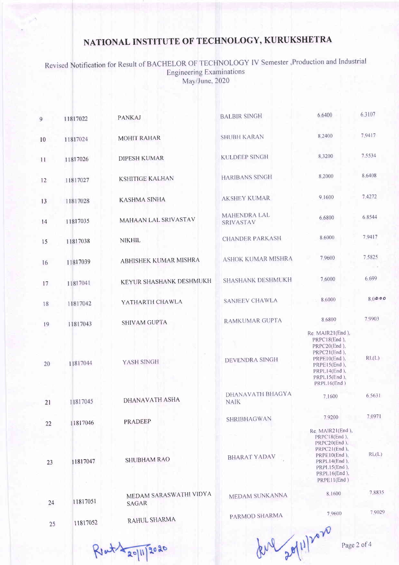Revised Notification for Result of BACHELOR OF TECHNOLOGY IV Semester ,Production and Industria Engineering Examinations May/June, 2020

| 9  | 11817022 | <b>PANKAJ</b>                   | <b>BALBIR SINGH</b>             | 6.6400                                                                                                                                             | 6.3107      |
|----|----------|---------------------------------|---------------------------------|----------------------------------------------------------------------------------------------------------------------------------------------------|-------------|
| 10 | 11817024 | <b>MOHIT RAHAR</b>              | <b>SHUBH KARAN</b>              | 8.2400                                                                                                                                             | 7.9417      |
| 11 | 11817026 | <b>DIPESH KUMAR</b>             | <b>KULDEEP SINGH</b>            | 8,3200                                                                                                                                             | 7.5534      |
| 12 | 11817027 | <b>KSHITIGE KALHAN</b>          | <b>HARIBANS SINGH</b>           | 8.2000                                                                                                                                             | 8.6408      |
| 13 | 11817028 | <b>KASHMA SINHA</b>             | <b>AKSHEY KUMAR</b>             | 9.1600                                                                                                                                             | 7.4272      |
| 14 | 11817035 | MAHAAN LAL SRIVASTAV            | MAHENDRA LAL<br>SRIVASTAV       | 6.6800                                                                                                                                             | 6.8544      |
| 15 | 11817038 | <b>NIKHIL</b>                   | <b>CHANDER PARKASH</b>          | 8.6000                                                                                                                                             | 7.9417      |
| 16 | 11817039 | <b>ABHISHEK KUMAR MISHRA</b>    | ASHOK KUMAR MISHRA              | 7.9600                                                                                                                                             | 75825       |
| 17 | 11817041 | KEYUR SHASHANK DESHMUKH         | <b>SHASHANK DESHMUKH</b>        | 7.6000                                                                                                                                             | 6.699       |
| 18 | 11817042 | YATHARTH CHAWLA                 | <b>SANJEEV CHAWLA</b>           | 8.6000                                                                                                                                             | 80000       |
| 19 | 11817043 | <b>SHIVAM GUPTA</b>             | <b>RAMKUMAR GUPTA</b>           | 8.6800                                                                                                                                             | 7.9903      |
| 20 | 11817044 | YASH SINGH                      | <b>DEVENDRA SINGH</b>           | Re. MAIR21(End),<br>PRPC18(End),<br>PRPC20(End),<br>PRPC21(End),<br>PRPE10(End),<br>PRPE15(End),<br>PRPL14(End),<br>PRPL15(End).<br>PRPL16(End)    | RL(L)       |
| 21 | 11817045 | <b>DHANAVATH ASHA</b>           | DHANAVATH BHAGYA<br><b>NAIK</b> | 7.1600                                                                                                                                             | 6.5631      |
| 22 | 11817046 | PRADEEP                         | SHRIBHAGWAN                     | 7.9200                                                                                                                                             | 7.0971      |
| 23 | 11817047 | <b>SHUBHAM RAO</b>              | <b>BHARAT YADAV</b>             | Re. MAIR21(End),<br>PRPC18(End),<br>PRPC20(End),<br>PRPC21(End),<br>$PRPE10(End)$ ,<br>PRPL14(End).<br>PRPL15(End),<br>PRPL16(End),<br>PRPE11(End) | RL(L)       |
| 24 | 11817051 | MEDAM SARASWATHI VIDYA<br>SAGAR | MEDAM SUNKANNA                  | 8.1600                                                                                                                                             | 7.8835      |
| 25 | 11817052 | RAHUL SHARMA                    | PARMOD SHARMA                   | 7.9600                                                                                                                                             | 7.9029      |
|    |          | $\sqrt{1.19020}$                |                                 | Marles                                                                                                                                             | Page 2 of 4 |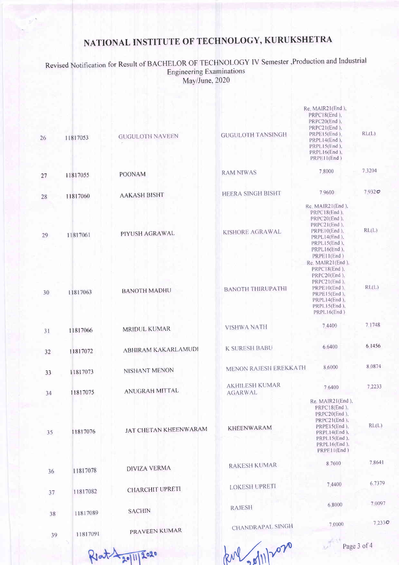Revised Notification for Result of BACHELOR OF TECHNOLOGY IV Semester , Production and Industrial<br>Engineering Examinations May/June, 2020

| 26 | 11817053 | <b>GUGULOTH NAVEEN</b> | <b>GUGULOTH TANSINGH</b>                | Re. MAIR21(End),<br>PRPC18(End),<br>PRPC20(End),<br>PRPC21(End),<br>PRPE15(End).<br>PRPL14(End),<br>PRPL15(End),<br>PRPL16(End),<br>PRPE11(End)    | RL(L)  |
|----|----------|------------------------|-----------------------------------------|----------------------------------------------------------------------------------------------------------------------------------------------------|--------|
| 27 | 11817055 | <b>POONAM</b>          | <b>RAM NIWAS</b>                        | 7.8000                                                                                                                                             | 7,3204 |
| 28 | 11817060 | <b>AAKASH BISHT</b>    | HEERA SINGH BISHT                       | 7.9600                                                                                                                                             | 7.9320 |
| 29 | 11817061 | PIYUSH AGRAWAL         | KISHORE AGRAWAL                         | Re. MAIR21(End),<br>PRPC18(End),<br>PRPC20(End),<br>PRPC21(End),<br>$PRPE10(End)$ ,<br>PRPL14(End),<br>PRPL15(End),<br>PRPL16(End),<br>PRPE11(End) | RL(L)  |
| 30 | 11817063 | <b>BANOTH MADHU</b>    | <b>BANOTH THIRUPATHI</b>                | Re. MAIR21(End),<br>PRPC18(End),<br>PRPC20(End),<br>PRPC21(End),<br>PRPE10(End),<br>PRPE15(End),<br>PRPL14(End),<br>PRPL15(End),<br>PRPL16(End)    | RL(L)  |
| 31 | 11817066 | MRIDUL KUMAR           | <b>VISHWA NATH</b>                      | 7.4400                                                                                                                                             | 7.1748 |
| 32 | 11817072 | ABHIRAM KAKARLAMUDI    | <b>K SURESH BABU</b>                    | 6.6400                                                                                                                                             | 6.1456 |
| 33 | 11817073 | NISHANT MENON          | MENON RAJESH EREKKATH                   | 8.6000                                                                                                                                             | 8.0874 |
| 34 | 11817075 | ANUGRAH MITTAL         | <b>AKHILESH KUMAR</b><br><b>AGARWAL</b> | 7.6400                                                                                                                                             | 7.2233 |
| 35 | 11817076 | JAT CHETAN KHEENWARAM  | <b>KHEENWARAM</b>                       | Re. MAIR21(End),<br>PRPC18(End),<br>PRPC20(End),<br>PRPC21(End),<br>PRPE15(End),<br>PRPL14(End),<br>PRPL15(End),<br>PRPL16(End),<br>PRPE11(End)    | RL(L)  |
| 36 | 11817078 | <b>DIVIZA VERMA</b>    | <b>RAKESH KUMAR</b>                     | 8.7600                                                                                                                                             | 7.8641 |
| 37 | 11817082 | CHARCHIT UPRETI        | <b>LOKESH UPRETI</b>                    | 7.4400                                                                                                                                             | 6.7379 |
| 38 | 11817089 | <b>SACHIN</b>          | <b>RAJESH</b>                           | 6.8000                                                                                                                                             | 7.0097 |
| 39 | 11817091 | PRAVEEN KUMAR          | CHANDRAPAL SINGH                        | 7.0000                                                                                                                                             | 7.2330 |
|    |          |                        | $\Lambda$                               | Page $3$ of $4$                                                                                                                                    |        |

Rlat 20/11/2020

kul dillar